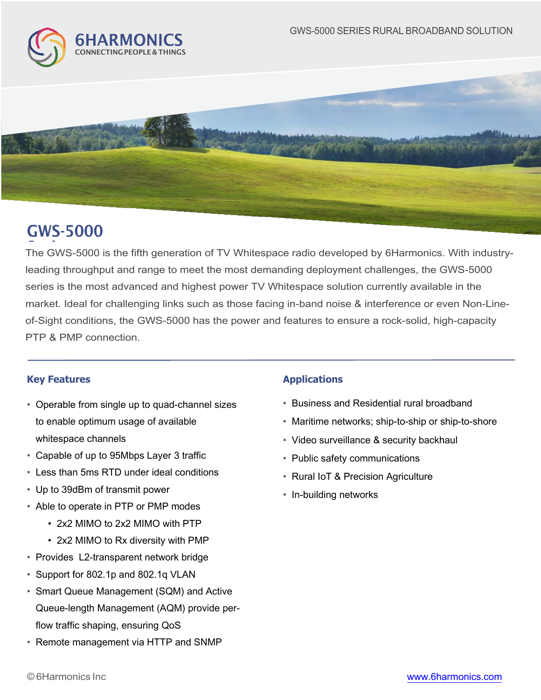



# GWS-5000

.<br>The GWS-5000 is the fifth generation of TV Whitespace radio developed by 6Harmonics. With industryleading throughput and range to meet the most demanding deployment challenges, the GWS-5000 series is the most advanced and highest power TV Whitespace solution currently available in the market. Ideal for challenging links such as those facing in-band noise & interference or even Non-Lineof-Sight conditions, the GWS-5000 has the power and features to ensure a rock-solid, high-capacity PTP & PMP connection.

## **Key Features Applications**

- Operable from single up to quad-channel sizes to enable optimum usage of available whitespace channels
- Capable of up to 95Mbps Layer 3 traffic
- Less than 5ms RTD under ideal conditions
- Up to 39dBm of transmit power
- \* Able to operate in PTP or PMP modes
	- 2x2 MIMO to 2x2 MIMO with PTP
	- 2x2 MIMO to Rx diversity with PMP
- Provides L2-transparent network bridge
- $\bullet$  Support for 802.1p and 802.1q VLAN
- Smart Queue Management (SQM) and Active Queue-length Management (AQM) provide perflow traffic shaping, ensuring QoS
- Remote management via HTTP and SNMP

- **Business and Residential rural broadband**
- \* Maritime networks: ship-to-ship or ship-to-shore
- Video surveillance & security backhaul
- Public safety communications
- Rural IoT & Precision Agriculture
- In-building networks